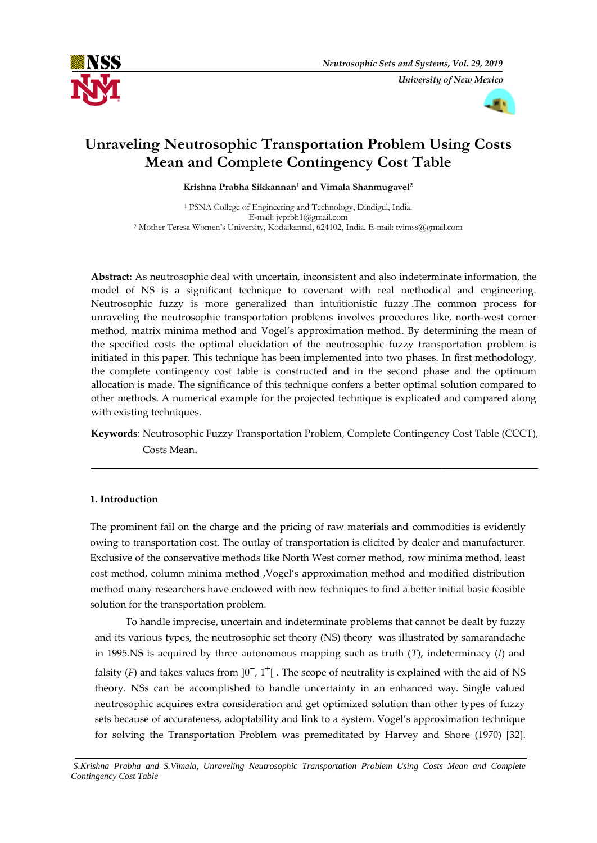

 *University of New Mexico*

# **ALC**

# **Unraveling Neutrosophic Transportation Problem Using Costs Mean and Complete Contingency Cost Table**

**Krishna Prabha Sikkannan<sup>1</sup> and Vimala Shanmugavel<sup>2</sup>**

<sup>1</sup> PSNA College of Engineering and Technology, Dindigul, India. E-mail: [jvprbh1@gmail.com](mailto:jvprbh1@gmail.com) <sup>2</sup> Mother Teresa Women's University, Kodaikannal, 624102, India. E-mail: tvimss@gmail.com

 **Abstract:** As neutrosophic deal with uncertain, inconsistent and also indeterminate information, the model of NS is a significant technique to covenant with real methodical and engineering. Neutrosophic fuzzy is more generalized than intuitionistic fuzzy .The common process for unraveling the neutrosophic transportation problems involves procedures like, north-west corner method, matrix minima method and Vogel's approximation method. By determining the mean of the specified costs the optimal elucidation of the neutrosophic fuzzy transportation problem is initiated in this paper. This technique has been implemented into two phases. In first methodology, the complete contingency cost table is constructed and in the second phase and the optimum allocation is made. The significance of this technique confers a better optimal solution compared to other methods. A numerical example for the projected technique is explicated and compared along with existing techniques.

 **Keywords**: Neutrosophic Fuzzy Transportation Problem, Complete Contingency Cost Table (CCCT), Costs Mean.

## **1. Introduction**

The prominent fail on the charge and the pricing of raw materials and commodities is evidently owing to transportation cost. The outlay of transportation is elicited by dealer and manufacturer. Exclusive of the conservative methods like North West corner method, row minima method, least cost method, column minima method ,Vogel's approximation method and modified distribution method many researchers have endowed with new techniques to find a better initial basic feasible solution for the transportation problem.

To handle imprecise, uncertain and indeterminate problems that cannot be dealt by fuzzy and its various types, the neutrosophic set theory (NS) theory was illustrated by samarandache in 1995.NS is acquired by three autonomous mapping such as truth (*T*), indeterminacy (*I*) and falsity (*F*) and takes values from  $]0^-, 1^+[$  . The scope of neutrality is explained with the aid of NS theory. NSs can be accomplished to handle uncertainty in an enhanced way. Single valued neutrosophic acquires extra consideration and get optimized solution than other types of fuzzy sets because of accurateness, adoptability and link to a system. Vogel's approximation technique for solving the Transportation Problem was premeditated by Harvey and Shore (1970) [32].

*S.Krishna Prabha and S.Vimala, Unraveling Neutrosophic Transportation Problem Using Costs Mean and Complete Contingency Cost Table*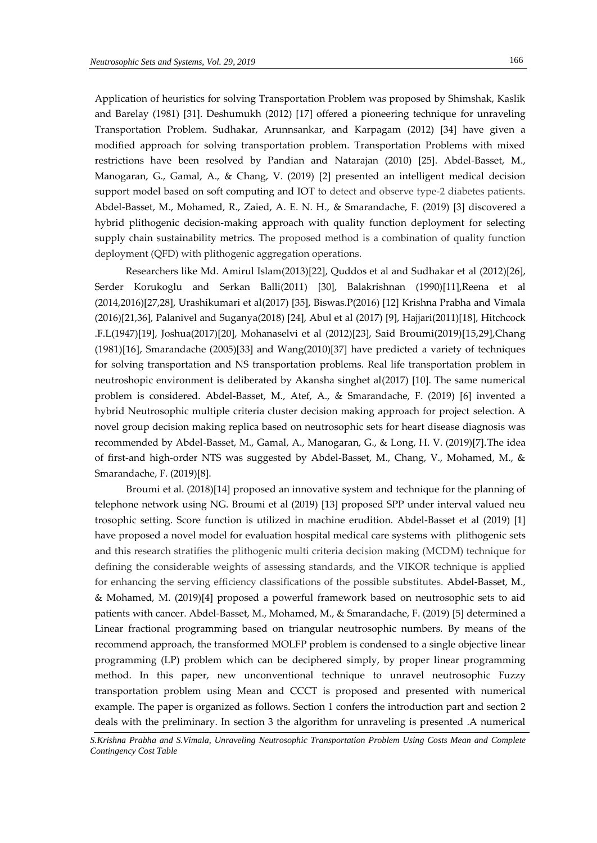Application of heuristics for solving Transportation Problem was proposed by Shimshak, Kaslik and Barelay (1981) [31]. Deshumukh (2012) [17] offered a pioneering technique for unraveling Transportation Problem. Sudhakar, Arunnsankar, and Karpagam (2012) [34] have given a modified approach for solving transportation problem. Transportation Problems with mixed restrictions have been resolved by Pandian and Natarajan (2010) [25]. Abdel-Basset, M., Manogaran, G., Gamal, A., & Chang, V. (2019) [2] presented an intelligent medical decision support model based on soft computing and IOT to detect and observe type-2 diabetes patients. Abdel-Basset, M., Mohamed, R., Zaied, A. E. N. H., & Smarandache, F. (2019) [3] discovered a hybrid plithogenic decision-making approach with quality function deployment for selecting supply chain sustainability metrics. The proposed method is a combination of quality function deployment (QFD) with plithogenic aggregation operations.

Researchers like Md. Amirul Islam(2013)[22], Quddos et al and Sudhakar et al (2012)[26], Serder Korukoglu and Serkan Balli(2011) [30], Balakrishnan (1990)[11],Reena et al (2014,2016)[27,28], Urashikumari et al(2017) [35], Biswas.P(2016) [12] Krishna Prabha and Vimala (2016)[21,36], Palanivel and Suganya(2018) [24], Abul et al (2017) [9], Hajjari(2011)[18], Hitchcock .F.L(1947)[19], Joshua(2017)[20], Mohanaselvi et al (2012)[23], Said Broumi(2019)[15,29],Chang (1981)[16], Smarandache (2005)[33] and Wang(2010)[37] have predicted a variety of techniques for solving transportation and NS transportation problems. Real life transportation problem in neutroshopic environment is deliberated by Akansha singhet al(2017) [10]. The same numerical problem is considered. Abdel-Basset, M., Atef, A., & Smarandache, F. (2019) [6] invented a hybrid Neutrosophic multiple criteria cluster decision making approach for project selection. A novel group decision making replica based on neutrosophic sets for heart disease diagnosis was recommended by Abdel-Basset, M., Gamal, A., Manogaran, G., & Long, H. V. (2019)[7].The idea of first-and high-order NTS was suggested by Abdel-Basset, M., Chang, V., Mohamed, M., & Smarandache, F. (2019)[8].

Broumi et al. (2018)[14] proposed an innovative system and technique for the planning of telephone network using NG. Broumi et al (2019) [\[13\]](#page-7-0) proposed SPP under interval valued neu trosophic setting. Score function is utilized in machine erudition. Abdel-Basset et al (2019) [1] have proposed a novel model for evaluation hospital medical care systems with plithogenic sets and this research stratifies the plithogenic multi criteria decision making (MCDM) technique for defining the considerable weights of assessing standards, and the VIKOR technique is applied for enhancing the serving efficiency classifications of the possible substitutes. Abdel-Basset, M., & Mohamed, M. (2019)[4] proposed a powerful framework based on neutrosophic sets to aid patients with cancer. Abdel-Basset, M., Mohamed, M., & Smarandache, F. (2019) [5] determined a Linear fractional programming based on triangular neutrosophic numbers. By means of the recommend approach, the transformed MOLFP problem is condensed to a single objective linear programming (LP) problem which can be deciphered simply, by proper linear programming method. In this paper, new unconventional technique to unravel neutrosophic Fuzzy transportation problem using Mean and CCCT is proposed and presented with numerical example. The paper is organized as follows. Section 1 confers the introduction part and section 2 deals with the preliminary. In section 3 the algorithm for unraveling is presented .A numerical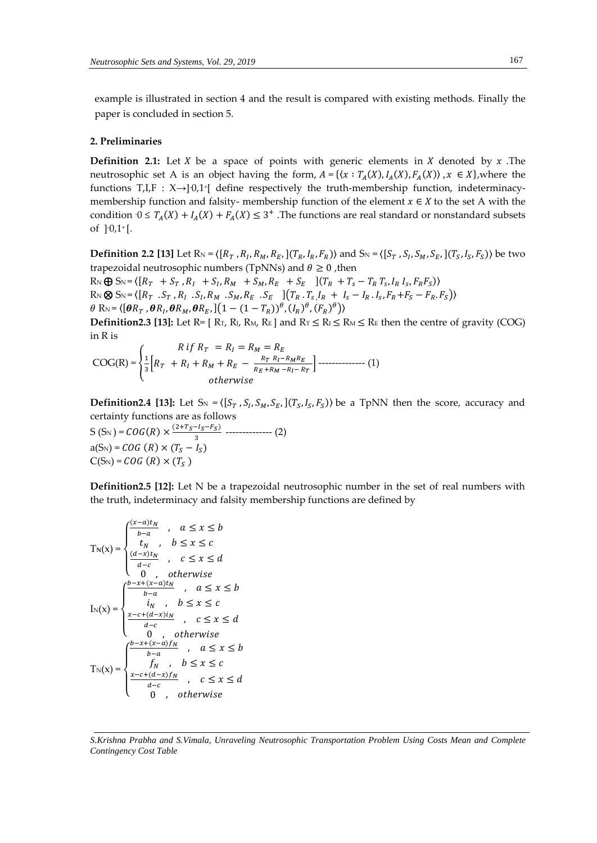example is illustrated in section 4 and the result is compared with existing methods. Finally the paper is concluded in section 5.

### **2. Preliminaries**

**Definition 2.1:** Let  $X$  be a space of points with generic elements in  $X$  denoted by  $x$ . The neutrosophic set A is an object having the form,  $A = \{(x : T_A(X), I_A(X), F_A(X)), x \in X\}$ , where the functions T,I,F : X→]·0,1<sup>+</sup>[ define respectively the truth-membership function, indeterminacymembership function and falsity- membership function of the element  $x \in X$  to the set A with the condition  $0 \le T_A(X) + I_A(X) + F_A(X) \le 3^+$ . The functions are real standard or nonstandard subsets of  $]0,1$ <sup>+</sup>[.

**Definition 2.2** [13] Let  $R_N = \langle [R_T, R_I, R_M, R_E,](T_R, I_R, F_R) \rangle$  and  $S_N = \langle [S_T, S_I, S_M, S_E,](T_S, I_S, F_S) \rangle$  be two trapezoidal neutrosophic numbers (TpNNs) and  $\theta \ge 0$ , then

 $R_N \bigoplus S_N = \langle [R_T + S_T, R_I + S_I, R_M + S_M, R_E + S_E \mid (T_R + T_s - T_R T_s, I_R I_s, F_R F_s) \rangle$  $R_N \otimes S_N = \langle [R_T : S_T, R_I : S_I, R_M : S_M, R_E : S_E \mid [T_R : T_S, I_R + I_S - I_R, I_S, F_R + F_S - F_R, F_S] \rangle$  $\theta$  R<sub>N</sub> =  $\langle [\theta R_T, \theta R_I, \theta R_M, \theta R_E, ] (1 - (1 - T_R))^{\theta}, (I_R)^{\theta}, (F_R)^{\theta} \rangle$ 

**Definition2.3 [13]:** Let  $R = [R_T, R_I, R_M, R_E]$  and  $R_T \leq R_I \leq R_M \leq R_E$  then the centre of gravity (COG) in R is

$$
COG(R) = \begin{cases} R & \text{if } R_T = R_I = R_M = R_E\\ \frac{1}{3} \Big[ R_T + R_I + R_M + R_E - \frac{R_T R_I - R_M R_E}{R_E + R_M - R_I - R_T} \Big] \end{cases} \tag{1}
$$

**Definition2.4** [13]: Let  $S_N = \langle [S_T, S_I, S_M, S_E,](T_S, I_S, F_S) \rangle$  be a TpNN then the score, accuracy and certainty functions are as follows

S (SN ) = () × (2+−−) 3 -------------- (2) a(SN) = () × ( − ) C(SN) = () × ( )

**Definition2.5 [12]:** Let N be a trapezoidal neutrosophic number in the set of real numbers with the truth, indeterminacy and falsity membership functions are defined by

$$
T_N(x) = \begin{cases} \frac{(x-a)t_N}{b-a} , & a \le x \le b \\ t_N , & b \le x \le c \\ \frac{(d-x)t_N}{d-c} , & c \le x \le d \\ 0 , & otherwise \end{cases}
$$
  

$$
I_N(x) = \begin{cases} \frac{b-x+(x-a)t_N}{b-a} , & a \le x \le b \\ \frac{x-c+(d-x)t_N}{d-c} , & c \le x \le d \\ 0 , & otherwise \\ \frac{b-a}{d-c} , & a \le x \le b \\ f_N , & b \le x \le c \\ \frac{x-c+(d-x)f_N}{d-c} , & c \le x \le d \\ 0 , & otherwise \end{cases}
$$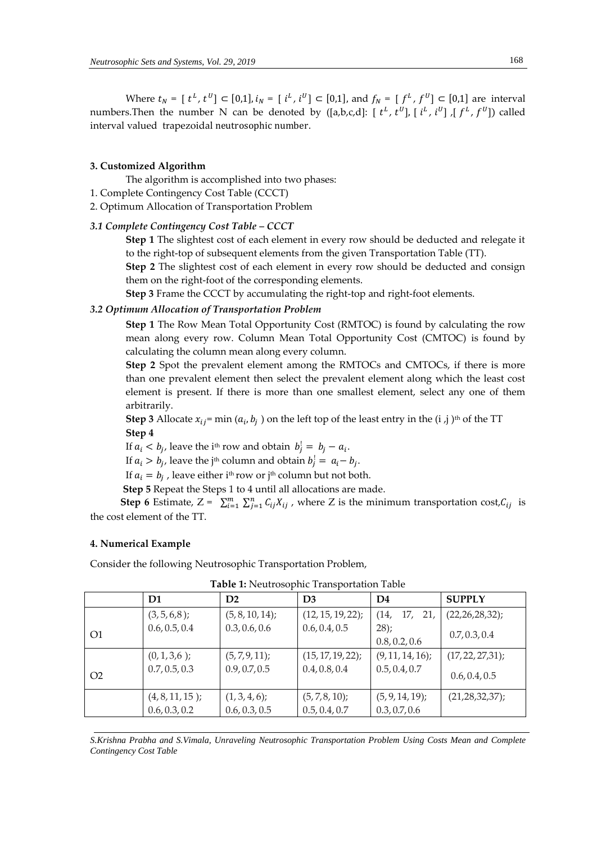Where  $t_N = [t^L, t^U] \subset [0,1], i_N = [t^L, i^U] \subset [0,1]$ , and  $f_N = [t^L, t^U] \subset [0,1]$  are interval numbers. Then the number N can be denoted by  $([a,b,c,d]: [t^L, t^U], [i^L, i^U], [f^L, f^U]$  called interval valued trapezoidal neutrosophic number.

#### **3. Customized Algorithm**

The algorithm is accomplished into two phases:

- 1. Complete Contingency Cost Table (CCCT)
- 2. Optimum Allocation of Transportation Problem

#### *3.1 Complete Contingency Cost Table – CCCT*

**Step 1** The slightest cost of each element in every row should be deducted and relegate it to the right-top of subsequent elements from the given Transportation Table (TT).

**Step 2** The slightest cost of each element in every row should be deducted and consign them on the right-foot of the corresponding elements.

**Step 3** Frame the CCCT by accumulating the right-top and right-foot elements.

#### *3.2 Optimum Allocation of Transportation Problem*

**Step 1** The Row Mean Total Opportunity Cost (RMTOC) is found by calculating the row mean along every row. Column Mean Total Opportunity Cost (CMTOC) is found by calculating the column mean along every column.

**Step 2** Spot the prevalent element among the RMTOCs and CMTOCs, if there is more than one prevalent element then select the prevalent element along which the least cost element is present. If there is more than one smallest element, select any one of them arbitrarily.

**Step 3** Allocate  $x_{ij}$ = min ( $a_i$ ,  $b_j$ ) on the left top of the least entry in the (i ,j)<sup>th</sup> of the TT **Step 4** 

If  $a_i < b_j$ , leave the i<sup>th</sup> row and obtain  $b_j^{\dagger} = b_j - a_i$ .

If  $a_i > b_j$ , leave the j<sup>th</sup> column and obtain  $b_j^! = a_i - b_j$ .

If  $a_i = b_j$ , leave either i<sup>th</sup> row or j<sup>th</sup> column but not both.

 **Step 5** Repeat the Steps 1 to 4 until all allocations are made.

**Step 6** Estimate,  $Z = \sum_{i=1}^{m} \sum_{j=1}^{n} C_{ij} X_{ij}$ , where Z is the minimum transportation cost,  $C_{ij}$  is the cost element of the TT.

#### **4. Numerical Example**

Consider the following Neutrosophic Transportation Problem,

|                | D1              | D <sub>2</sub>  | D <sub>3</sub>    | D4                   | <b>SUPPLY</b>     |
|----------------|-----------------|-----------------|-------------------|----------------------|-------------------|
|                | (3, 5, 6, 8);   | (5, 8, 10, 14); | (12, 15, 19, 22); | (14,<br>17, 21,      | (22, 26, 28, 32); |
| O1             | 0.6, 0.5, 0.4   | 0.3, 0.6, 0.6   | 0.6, 0.4, 0.5     | 28;<br>0.8, 0.2, 0.6 | 0.7, 0.3, 0.4     |
|                | (0, 1, 3, 6);   | (5, 7, 9, 11);  | (15, 17, 19, 22); | (9, 11, 14, 16);     | (17, 22, 27, 31); |
| O <sub>2</sub> | 0.7, 0.5, 0.3   | 0.9, 0.7, 0.5   | 0.4, 0.8, 0.4     | 0.5, 0.4, 0.7        | 0.6, 0.4, 0.5     |
|                | (4, 8, 11, 15); | (1, 3, 4, 6);   | (5, 7, 8, 10);    | (5, 9, 14, 19);      | (21, 28, 32, 37); |
|                | 0.6, 0.3, 0.2   | 0.6, 0.3, 0.5   | 0.5, 0.4, 0.7     | 0.3, 0.7, 0.6        |                   |

**Table 1:** Neutrosophic Transportation Table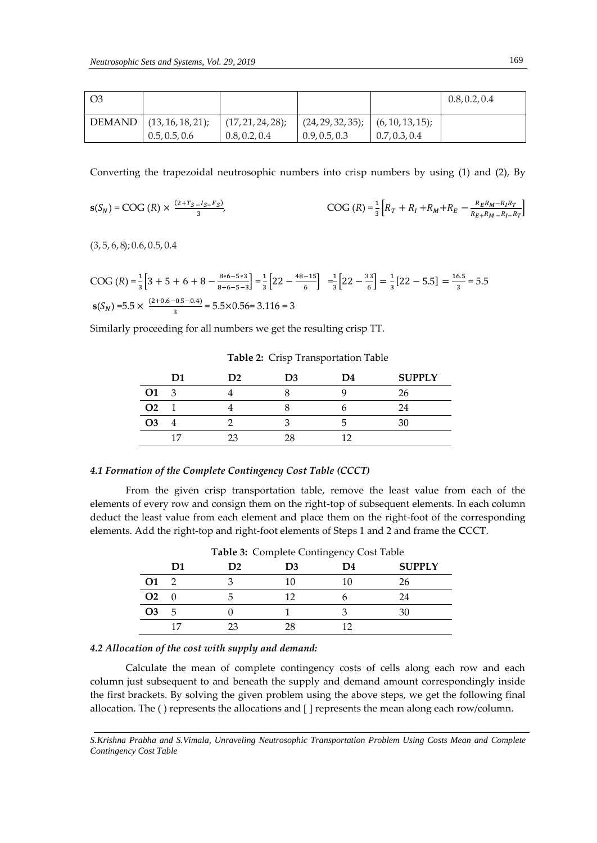| . Q <sub>3</sub> |                                          |                   |                                                  |               | 0.8, 0.2, 0.4 |
|------------------|------------------------------------------|-------------------|--------------------------------------------------|---------------|---------------|
|                  | $\vert$ DEMAND $\vert$ (13, 16, 18, 21); | (17, 21, 24, 28); | $\mid$ (24, 29, 32, 35); $\mid$ (6, 10, 13, 15); |               |               |
|                  | 0.5, 0.5, 0.6                            | 0.8, 0.2, 0.4     | 0.9, 0.5, 0.3                                    | 0.7, 0.3, 0.4 |               |

Converting the trapezoidal neutrosophic numbers into crisp numbers by using (1) and (2), By

$$
\mathbf{s}(S_N) = \text{COG}(R) \times \frac{(2+T_S - I_S - F_S)}{3}, \qquad \text{COG}(R) = \frac{1}{3} \left[ R_T + R_I + R_M + R_E - \frac{R_E R_M - R_I R_T}{R_E + R_M - R_I - R_T} \right]
$$

(3, 5, 6, 8); 0.6, 0.5, 0.4

$$
\text{COG (R)} = \frac{1}{3} \left[ 3 + 5 + 6 + 8 - \frac{8 \times 6 - 5 \times 3}{8 + 6 - 5 - 3} \right] = \frac{1}{3} \left[ 22 - \frac{48 - 15}{6} \right] = \frac{1}{3} \left[ 22 - \frac{33}{6} \right] = \frac{1}{3} \left[ 22 - 5.5 \right] = \frac{16.5}{3} = 5.5
$$
\n
$$
\text{s}(S_N) = 5.5 \times \frac{(2 + 0.6 - 0.5 - 0.4)}{3} = 5.5 \times 0.56 = 3.116 = 3
$$

Similarly proceeding for all numbers we get the resulting crisp TT.

|                | D1 | D2 | D <sub>3</sub> | D4 | <b>SUPPLY</b> |
|----------------|----|----|----------------|----|---------------|
| <b>O1</b>      |    |    |                |    | 26            |
| O <sub>2</sub> |    |    |                |    | 24            |
| O <sub>3</sub> |    |    |                |    |               |
|                | 15 |    | 28             |    |               |

**Table 2:** Crisp Transportation Table

#### *4.1 Formation of the Complete Contingency Cost Table (CCCT)*

From the given crisp transportation table, remove the least value from each of the elements of every row and consign them on the right-top of subsequent elements. In each column deduct the least value from each element and place them on the right-foot of the corresponding elements. Add the right-top and right-foot elements of Steps 1 and 2 and frame the **C**CCT.

|                | D <sub>1</sub> | D2 | D <sub>3</sub> | <b>Table 9.</b> Complete Commiglity Cost Table<br>D4 | <b>SUPPLY</b> |
|----------------|----------------|----|----------------|------------------------------------------------------|---------------|
|                |                |    |                |                                                      |               |
| <b>O1</b>      |                |    | 10             |                                                      | 26            |
| O <sub>2</sub> |                |    | 12             |                                                      | 24            |
| O <sub>3</sub> | 5              |    |                |                                                      | 30            |
|                | 17             | 23 | 28             |                                                      |               |

**Table 3:** Complete Contingency Cost Table

#### *4.2 Allocation of the cost with supply and demand:*

Calculate the mean of complete contingency costs of cells along each row and each column just subsequent to and beneath the supply and demand amount correspondingly inside the first brackets. By solving the given problem using the above steps, we get the following final allocation. The ( ) represents the allocations and [ ] represents the mean along each row/column.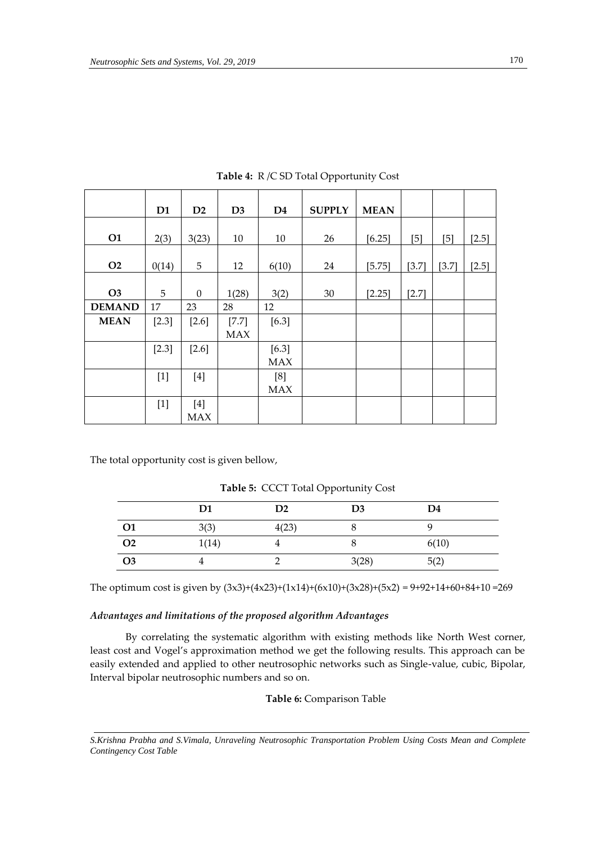|                | D <sub>1</sub> | D2                  | D <sub>3</sub>        | D <sub>4</sub>        | <b>SUPPLY</b> | <b>MEAN</b> |         |         |         |
|----------------|----------------|---------------------|-----------------------|-----------------------|---------------|-------------|---------|---------|---------|
| <b>O1</b>      | 2(3)           | 3(23)               | 10                    | 10                    | 26            | [6.25]      | [5]     | $[5]$   | $[2.5]$ |
| O2             | 0(14)          | 5                   | 12                    | 6(10)                 | 24            | [5.75]      | $[3.7]$ | $[3.7]$ | $[2.5]$ |
| O <sub>3</sub> | 5              | $\boldsymbol{0}$    | 1(28)                 | 3(2)                  | 30            | [2.25]      | $[2.7]$ |         |         |
| <b>DEMAND</b>  | 17             | 23                  | 28                    | 12                    |               |             |         |         |         |
| <b>MEAN</b>    | $[2.3]$        | $[2.6]$             | $[7.7]$<br><b>MAX</b> | $[6.3]$               |               |             |         |         |         |
|                | $[2.3]$        | $[2.6]$             |                       | $[6.3]$<br><b>MAX</b> |               |             |         |         |         |
|                | $[1]$          | $[4]$               |                       | [8]<br><b>MAX</b>     |               |             |         |         |         |
|                | $[1]$          | $[4]$<br><b>MAX</b> |                       |                       |               |             |         |         |         |

**Table 4:** R /C SD Total Opportunity Cost

The total opportunity cost is given bellow,

|                | D1    | D2    | D <sub>3</sub> | D <sub>4</sub> |
|----------------|-------|-------|----------------|----------------|
| <b>O1</b>      | 3(3)  | 4(23) |                |                |
| O <sub>2</sub> | 1(14) |       |                | 6(10)          |
| O <sub>3</sub> |       |       | 3(28)          | 5(2)           |

**Table 5:** CCCT Total Opportunity Cost

The optimum cost is given by  $(3x3)+(4x23)+(1x14)+(6x10)+(3x28)+(5x2) = 9+92+14+60+84+10=269$ 

# *Advantages and limitations of the proposed algorithm Advantages*

By correlating the systematic algorithm with existing methods like North West corner, least cost and Vogel's approximation method we get the following results. This approach can be easily extended and applied to other neutrosophic networks such as Single-value, cubic, Bipolar, Interval bipolar neutrosophic numbers and so on.

# **Table 6:** Comparison Table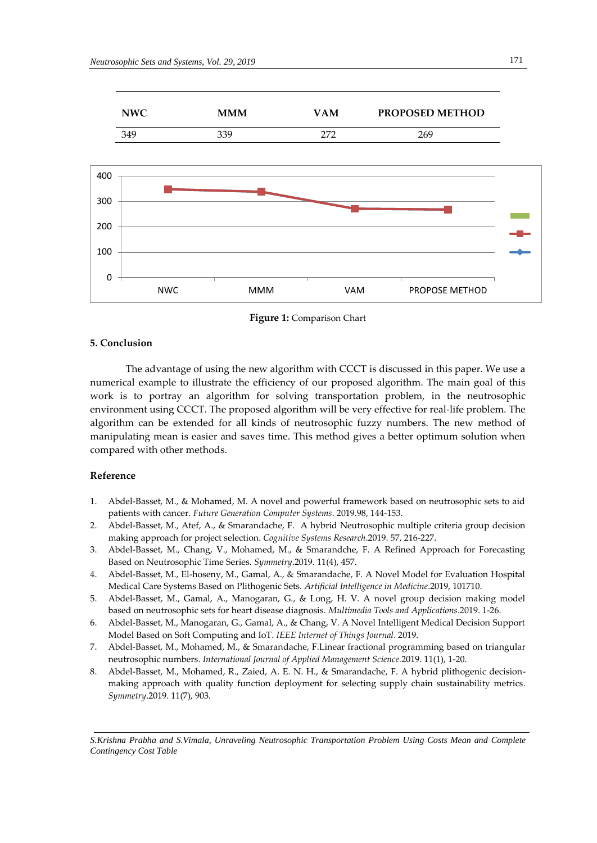

**Figure 1:** Comparison Chart

# **5. Conclusion**

The advantage of using the new algorithm with CCCT is discussed in this paper. We use a numerical example to illustrate the efficiency of our proposed algorithm. The main goal of this work is to portray an algorithm for solving transportation problem, in the neutrosophic environment using CCCT. The proposed algorithm will be very effective for real-life problem. The algorithm can be extended for all kinds of neutrosophic fuzzy numbers. The new method of manipulating mean is easier and saves time. This method gives a better optimum solution when compared with other methods.

# **Reference**

- 1. Abdel-Basset, M., & Mohamed, M. A novel and powerful framework based on neutrosophic sets to aid patients with cancer. *Future Generation Computer Systems*. 2019.98, 144-153.
- 2. Abdel-Basset, M., Atef, A., & Smarandache, F. A hybrid Neutrosophic multiple criteria group decision making approach for project selection. *Cognitive Systems Research*.2019. 57, 216-227.
- 3. Abdel-Basset, M., Chang, V., Mohamed, M., & Smarandche, F. A Refined Approach for Forecasting Based on Neutrosophic Time Series. *Symmetry*.2019. 11(4), 457.
- 4. Abdel-Basset, M., El-hoseny, M., Gamal, A., & Smarandache, F. A Novel Model for Evaluation Hospital Medical Care Systems Based on Plithogenic Sets. *Artificial Intelligence in Medicine*.2019, 101710.
- 5. Abdel-Basset, M., Gamal, A., Manogaran, G., & Long, H. V. A novel group decision making model based on neutrosophic sets for heart disease diagnosis. *Multimedia Tools and Applications*.2019. 1-26.
- 6. Abdel-Basset, M., Manogaran, G., Gamal, A., & Chang, V. A Novel Intelligent Medical Decision Support Model Based on Soft Computing and IoT. *IEEE Internet of Things Journal*. 2019.
- 7. Abdel-Basset, M., Mohamed, M., & Smarandache, F.Linear fractional programming based on triangular neutrosophic numbers. *International Journal of Applied Management Science.*2019. 11(1), 1-20.
- 8. Abdel-Basset, M., Mohamed, R., Zaied, A. E. N. H., & Smarandache, F. A hybrid plithogenic decisionmaking approach with quality function deployment for selecting supply chain sustainability metrics*. Symmetry*.2019. 11(7), 903.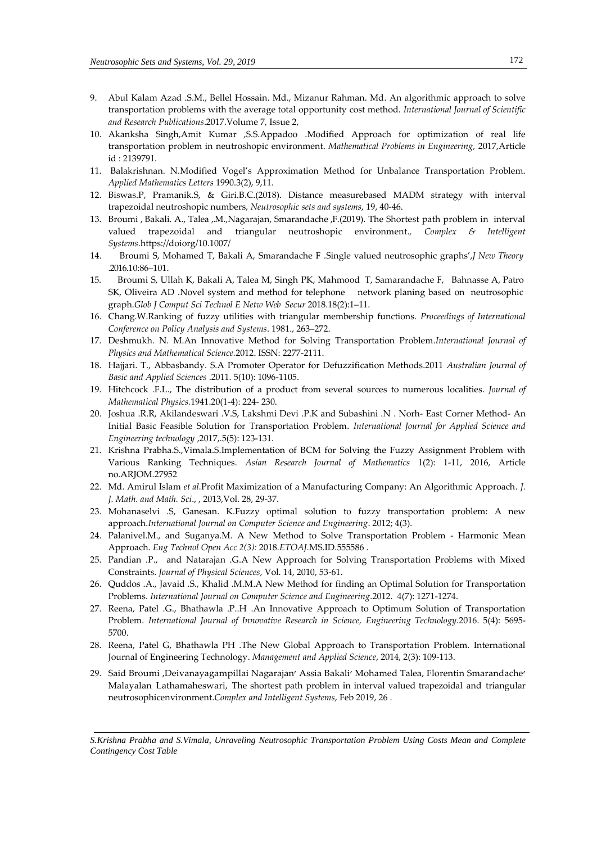- 9. Abul Kalam Azad .S.M., Bellel Hossain. Md., Mizanur Rahman. Md. An algorithmic approach to solve transportation problems with the average total opportunity cost method. *International Journal of Scientific and Research Publications*.2017.Volume 7, Issue 2,
- 10. Akanksha Singh,Amit Kumar ,S.S.Appadoo .Modified Approach for optimization of real life transportation problem in neutroshopic environment. *Mathematical Problems in Engineering*, 2017,Article id : 2139791.
- 11. Balakrishnan. N.Modified Vogel's Approximation Method for Unbalance Transportation Problem. *Applied Mathematics Letters* 1990.3(2), 9,11.
- 12. Biswas.P, Pramanik.S, & Giri.B.C.(2018). Distance measurebased MADM strategy with interval trapezoidal neutroshopic numbers, *Neutrosophic sets and systems*, 19, 40-46.
- 13. Broumi , Bakali. A., Talea ,.M.,Nagarajan, Smarandache ,F.(2019). The Shortest path problem in interval valued trapezoidal and triangular neutroshopic environment*., Complex & Intelligent Systems*.https://doiorg/10.1007/
- 14. Broumi S, Mohamed T, Bakali A, Smarandache F .Single valued neutrosophic graphs',*J New Theory* .2016.10:86–101.
- 15. Broumi S, Ullah K, Bakali A, Talea M, Singh PK, Mahmood T, Samarandache F, Bahnasse A, Patro SK, Oliveira AD .Novel system and method for telephone network planing based on neutrosophic graph.*Glob J Comput Sci Technol E Netw Web Secur* 2018.18(2):1–11.
- <span id="page-7-0"></span>16. Chang.W.Ranking of fuzzy utilities with triangular membership functions. *Proceedings of International Conference on Policy Analysis and Systems*. 1981., 263–272.
- 17. Deshmukh. N. M.An Innovative Method for Solving Transportation Problem.*International Journal of Physics and Mathematical Science.*2012. ISSN: 2277-2111.
- 18. Hajjari. T., Abbasbandy. S.A Promoter Operator for Defuzzification Methods.2011 *Australian Journal of Basic and Applied Sciences* .2011. 5(10): 1096-1105.
- 19. Hitchcock .F.L., The distribution of a product from several sources to numerous localities. *Journal of Mathematical Physics.*1941.20(1-4): 224- 230.
- 20. Joshua .R.R, Akilandeswari .V.S, Lakshmi Devi .P.K and Subashini .N . Norh- East Corner Method- An Initial Basic Feasible Solution for Transportation Problem. *International Journal for Applied Science and Engineering technology* ,2017,.5(5): 123-131.
- 21. Krishna Prabha.S.,Vimala.S.Implementation of BCM for Solving the Fuzzy Assignment Problem with Various Ranking Techniques. *Asian Research Journal of Mathematics* 1(2): 1-11, 2016, Article no.ARJOM.27952
- 22. Md. Amirul Islam *et al.*Profit Maximization of a Manufacturing Company: An Algorithmic Approach. *J. J. Math. and Math. Sci*., , 2013,Vol. 28, 29-37.
- 23. Mohanaselvi .S, Ganesan. K.Fuzzy optimal solution to fuzzy transportation problem: A new approach.*International Journal on Computer Science and Engineering*. 2012; 4(3).
- 24. Palanivel.M., and Suganya.M. A New Method to Solve Transportation Problem Harmonic Mean Approach. *Eng Technol Open Acc 2(3):* 2018.*ETOAJ.*MS.ID.555586 .
- 25. Pandian .P., and Natarajan .G.A New Approach for Solving Transportation Problems with Mixed Constraints. *Journal of Physical Sciences*, Vol. 14, 2010, 53-61.
- 26. Quddos .A., Javaid .S., Khalid .M.M.A New Method for finding an Optimal Solution for Transportation Problems. *International Journal on Computer Science and Engineering.*2012. 4(7): 1271-1274.
- 27. Reena, Patel .G., Bhathawla .P..H .An Innovative Approach to Optimum Solution of Transportation Problem. *International Journal of Innovative Research in Science, Engineering Technology.*2016. 5(4): 5695- 5700.
- 28. Reena, Patel G, Bhathawla PH .The New Global Approach to Transportation Problem. International Journal of Engineering Technology. *Management and Applied Science*, 2014, 2(3): 109-113.
- 29. Said Broumi ,Deivanayagampillai Nagarajan' Assia Bakali' Mohamed Talea, Florentin Smarandache' Malayalan Lathamaheswari, The shortest path problem in interval valued trapezoidal and triangular neutrosophicenvironment.*Complex and Intelligent Systems*, Feb 2019, 26 .